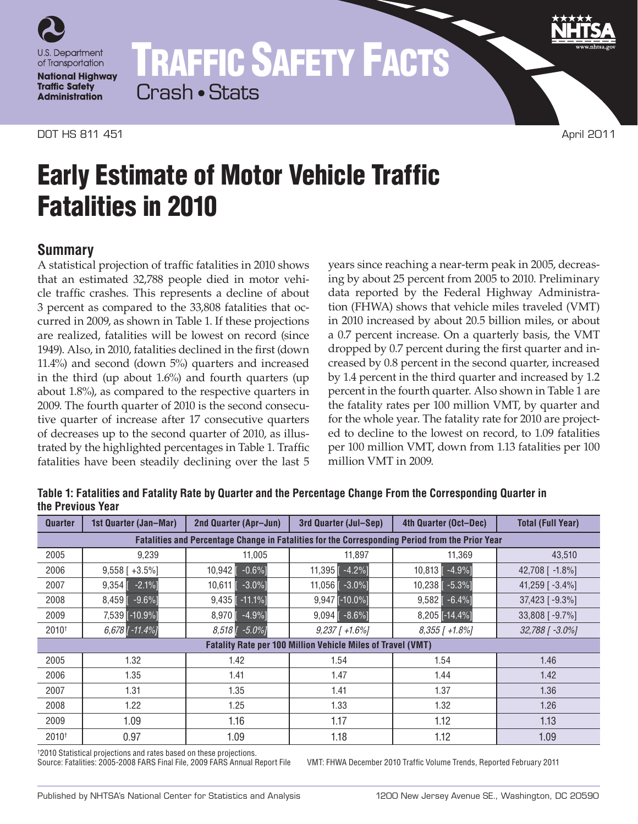

TRAFFIC SAFETY FACTS Crash • Stats

#### **DOT HS 811 451** April 2011

# Early Estimate of Motor Vehicle Traffic Fatalities in 2010

## **Summary**

A statistical projection of traffic fatalities in 2010 shows that an estimated 32,788 people died in motor vehicle traffic crashes. This represents a decline of about 3 percent as compared to the 33,808 fatalities that occurred in 2009, as shown in Table 1. If these projections are realized, fatalities will be lowest on record (since 1949). Also, in 2010, fatalities declined in the first (down 11.4%) and second (down 5%) quarters and increased in the third (up about 1.6%) and fourth quarters (up about 1.8%), as compared to the respective quarters in 2009. The fourth quarter of 2010 is the second consecutive quarter of increase after 17 consecutive quarters of decreases up to the second quarter of 2010, as illustrated by the highlighted percentages in Table 1. Traffic fatalities have been steadily declining over the last 5

years since reaching a near-term peak in 2005, decreasing by about 25 percent from 2005 to 2010. Preliminary data reported by the Federal Highway Administration (FHWA) shows that vehicle miles traveled (VMT) in 2010 increased by about 20.5 billion miles, or about a 0.7 percent increase. On a quarterly basis, the VMT dropped by 0.7 percent during the first quarter and increased by 0.8 percent in the second quarter, increased by 1.4 percent in the third quarter and increased by 1.2 percent in the fourth quarter. Also shown in Table 1 are the fatality rates per 100 million VMT, by quarter and for the whole year. The fatality rate for 2010 are projected to decline to the lowest on record, to 1.09 fatalities per 100 million VMT, down from 1.13 fatalities per 100 million VMT in 2009.

**Table 1: Fatalities and Fatality Rate by Quarter and the Percentage Change From the Corresponding Quarter in the Previous Year**

| <b>Quarter</b>                                                                                                                                                                                                                                                     | 1st Quarter (Jan-Mar) | 2nd Quarter (Apr-Jun)            | 3rd Quarter (Jul-Sep)         | 4th Quarter (Oct-Dec)          | <b>Total (Full Year)</b> |
|--------------------------------------------------------------------------------------------------------------------------------------------------------------------------------------------------------------------------------------------------------------------|-----------------------|----------------------------------|-------------------------------|--------------------------------|--------------------------|
| Fatalities and Percentage Change in Fatalities for the Corresponding Period from the Prior Year                                                                                                                                                                    |                       |                                  |                               |                                |                          |
| 2005                                                                                                                                                                                                                                                               | 9,239                 | 11,005                           | 11,897                        | 11,369                         | 43,510                   |
| 2006                                                                                                                                                                                                                                                               | $9,558$ [ +3.5%]      | $-0.6%$ ]<br>10,942              | $-4.2%$ ]<br>11,395           | $10,813$ $-4.9\%$              | 42,708 [ -1.8%]          |
| 2007                                                                                                                                                                                                                                                               | $-2.1%$<br>9,354      | $-3.0\%$ ]<br>10,611             | $-3.0\%$ ]<br>$11,056$ $\Box$ | $10,238$ [ $-5.3%$ ]           | 41,259 [-3.4%]           |
| 2008                                                                                                                                                                                                                                                               | 8,459<br>$-9.6\%$ ]   | $9,435$ [ -11.1%]                | $9,947$ [-10.0%]              | $9,582$ $\lceil -6.4\% \rceil$ | 37,423 [-9.3%]           |
| 2009                                                                                                                                                                                                                                                               | 7,539 [-10.9%]        | 8.970<br>$-4.9%$ ]               | $-8.6\%$ ]<br>9,094           | $8,205$ [-14.4%]               | 33,808 [-9.7%]           |
| 2010 <sup>+</sup>                                                                                                                                                                                                                                                  | $6,678$ [ -11.4%]     | $-5.0\%$ ]<br>$8.518$ $\sqrt{ }$ | $9,237$ [ +1.6%]              | $8,355$ [ +1.8%]               | 32,788 [ -3.0%]          |
| <b>Fatality Rate per 100 Million Vehicle Miles of Travel (VMT)</b><br>2005<br>1.32<br>1.42<br>1.46<br>1.54<br>1.54<br>1.35<br>1.47<br>2006<br>1.41<br>1.44<br>1.42<br>1.31<br>1.35<br>1.37<br>1.41<br>1.36<br>2007<br>1.22<br>1.25<br>1.33<br>1.32<br>1.26<br>2008 |                       |                                  |                               |                                |                          |
|                                                                                                                                                                                                                                                                    |                       |                                  |                               |                                |                          |
|                                                                                                                                                                                                                                                                    |                       |                                  |                               |                                |                          |
|                                                                                                                                                                                                                                                                    |                       |                                  |                               |                                |                          |
|                                                                                                                                                                                                                                                                    |                       |                                  |                               |                                |                          |
| 2009                                                                                                                                                                                                                                                               | 1.09                  | 1.16                             | 1.17                          | 1.12                           | 1.13                     |
| 2010 <sup>+</sup>                                                                                                                                                                                                                                                  | 0.97                  | 1.09                             | 1.18                          | 1.12                           | 1.09                     |

† 2010 Statistical projections and rates based on these projections.

Source: Fatalities: 2005-2008 FARS Final File, 2009 FARS Annual Report File VMT: FHWA December 2010 Traffic Volume Trends, Reported February 2011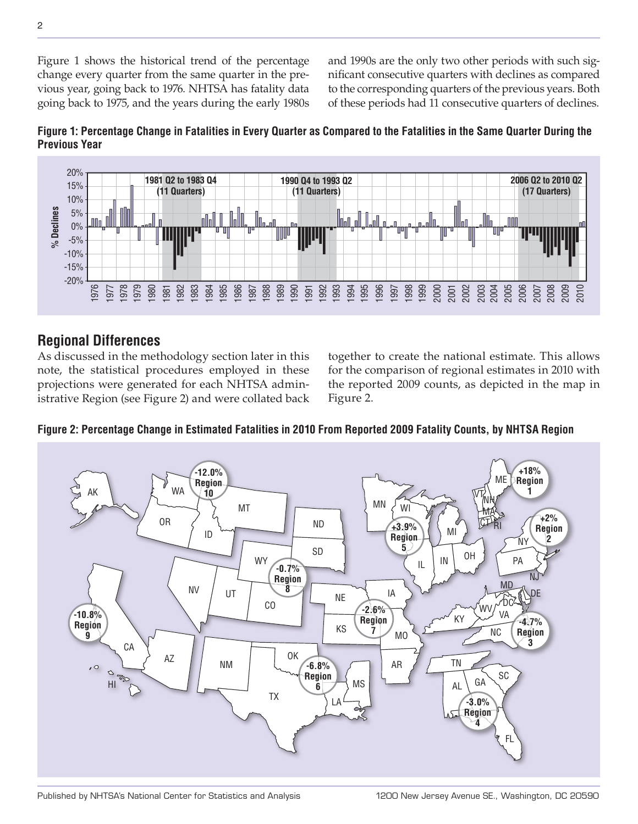Figure 1 shows the historical trend of the percentage change every quarter from the same quarter in the previous year, going back to 1976. NHTSA has fatality data going back to 1975, and the years during the early 1980s and 1990s are the only two other periods with such significant consecutive quarters with declines as compared to the corresponding quarters of the previous years. Both of these periods had 11 consecutive quarters of declines.





### **Regional Differences**

As discussed in the methodology section later in this note, the statistical procedures employed in these projections were generated for each NHTSA administrative Region (see Figure 2) and were collated back together to create the national estimate. This allows for the comparison of regional estimates in 2010 with the reported 2009 counts, as depicted in the map in Figure 2.



**Figure 2: Percentage Change in Estimated Fatalities in 2010 From Reported 2009 Fatality Counts, by NHTSA Region**

Published by NHTSA's National Center for Statistics and Analysis 1200 New Jersey Avenue SE., Washington, DC 20590